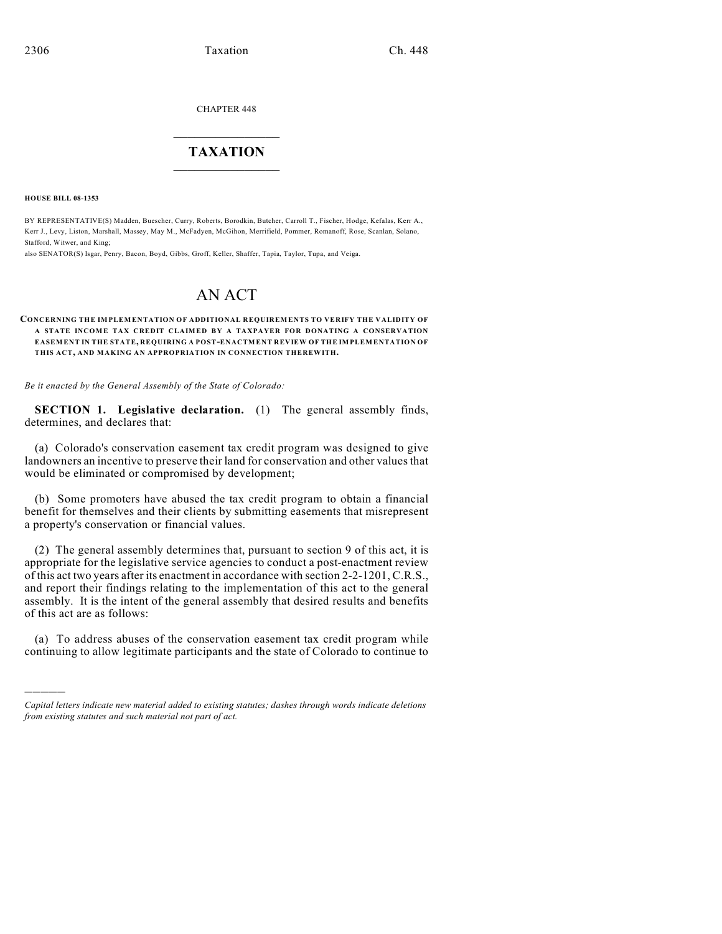CHAPTER 448

## $\overline{\phantom{a}}$  . The set of the set of the set of the set of the set of the set of the set of the set of the set of the set of the set of the set of the set of the set of the set of the set of the set of the set of the set o **TAXATION**  $\_$

**HOUSE BILL 08-1353**

)))))

BY REPRESENTATIVE(S) Madden, Buescher, Curry, Roberts, Borodkin, Butcher, Carroll T., Fischer, Hodge, Kefalas, Kerr A., Kerr J., Levy, Liston, Marshall, Massey, May M., McFadyen, McGihon, Merrifield, Pommer, Romanoff, Rose, Scanlan, Solano, Stafford, Witwer, and King;

also SENATOR(S) Isgar, Penry, Bacon, Boyd, Gibbs, Groff, Keller, Shaffer, Tapia, Taylor, Tupa, and Veiga.

# AN ACT

#### **CONCERNING THE IMPLEMENTATION OF ADDITIONAL REQUIREMENTS TO VERIFY THE VALIDITY OF A STATE INCOME TAX CREDIT CLAIMED BY A TAXPAYER FOR DONATING A CONSERVATION EASEMENT IN THE STATE, REQUIRING A POST-ENACTMENT REVIEW OF THE IMPLEMENTATION OF THIS ACT, AND MAKING AN APPROPRIATION IN CONNECTION THEREWITH.**

*Be it enacted by the General Assembly of the State of Colorado:*

**SECTION 1. Legislative declaration.** (1) The general assembly finds, determines, and declares that:

(a) Colorado's conservation easement tax credit program was designed to give landowners an incentive to preserve their land for conservation and other values that would be eliminated or compromised by development;

(b) Some promoters have abused the tax credit program to obtain a financial benefit for themselves and their clients by submitting easements that misrepresent a property's conservation or financial values.

(2) The general assembly determines that, pursuant to section 9 of this act, it is appropriate for the legislative service agencies to conduct a post-enactment review of this act two years after its enactment in accordance with section 2-2-1201, C.R.S., and report their findings relating to the implementation of this act to the general assembly. It is the intent of the general assembly that desired results and benefits of this act are as follows:

(a) To address abuses of the conservation easement tax credit program while continuing to allow legitimate participants and the state of Colorado to continue to

*Capital letters indicate new material added to existing statutes; dashes through words indicate deletions from existing statutes and such material not part of act.*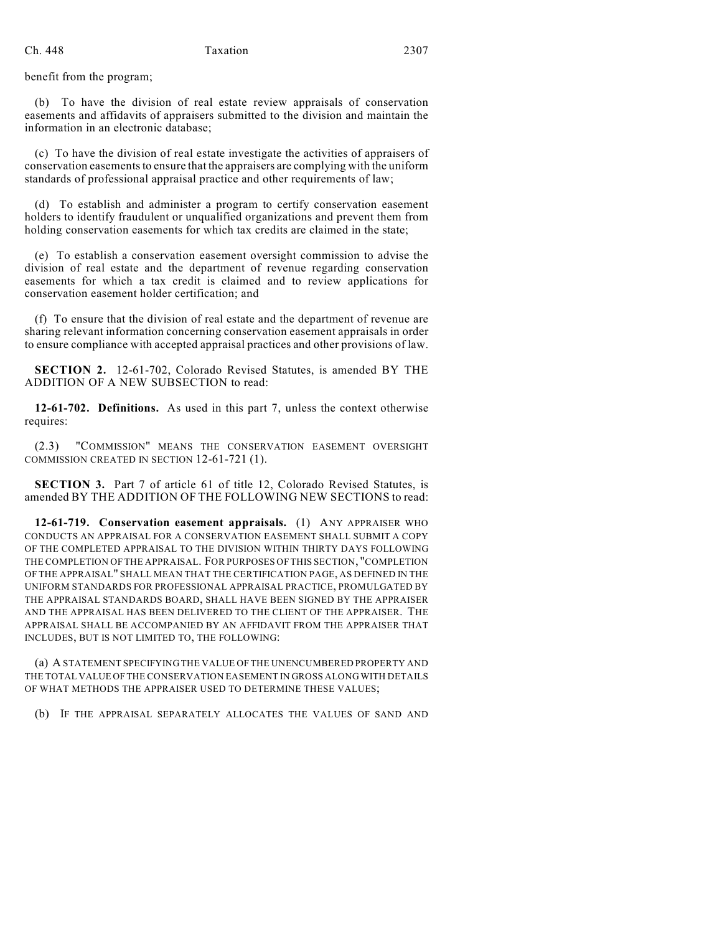benefit from the program;

(b) To have the division of real estate review appraisals of conservation easements and affidavits of appraisers submitted to the division and maintain the information in an electronic database;

(c) To have the division of real estate investigate the activities of appraisers of conservation easements to ensure that the appraisers are complying with the uniform standards of professional appraisal practice and other requirements of law;

(d) To establish and administer a program to certify conservation easement holders to identify fraudulent or unqualified organizations and prevent them from holding conservation easements for which tax credits are claimed in the state;

(e) To establish a conservation easement oversight commission to advise the division of real estate and the department of revenue regarding conservation easements for which a tax credit is claimed and to review applications for conservation easement holder certification; and

(f) To ensure that the division of real estate and the department of revenue are sharing relevant information concerning conservation easement appraisals in order to ensure compliance with accepted appraisal practices and other provisions of law.

**SECTION 2.** 12-61-702, Colorado Revised Statutes, is amended BY THE ADDITION OF A NEW SUBSECTION to read:

**12-61-702. Definitions.** As used in this part 7, unless the context otherwise requires:

(2.3) "COMMISSION" MEANS THE CONSERVATION EASEMENT OVERSIGHT COMMISSION CREATED IN SECTION 12-61-721 (1).

**SECTION 3.** Part 7 of article 61 of title 12, Colorado Revised Statutes, is amended BY THE ADDITION OF THE FOLLOWING NEW SECTIONS to read:

**12-61-719. Conservation easement appraisals.** (1) ANY APPRAISER WHO CONDUCTS AN APPRAISAL FOR A CONSERVATION EASEMENT SHALL SUBMIT A COPY OF THE COMPLETED APPRAISAL TO THE DIVISION WITHIN THIRTY DAYS FOLLOWING THE COMPLETION OF THE APPRAISAL. FOR PURPOSES OF THIS SECTION, "COMPLETION OF THE APPRAISAL" SHALL MEAN THAT THE CERTIFICATION PAGE, AS DEFINED IN THE UNIFORM STANDARDS FOR PROFESSIONAL APPRAISAL PRACTICE, PROMULGATED BY THE APPRAISAL STANDARDS BOARD, SHALL HAVE BEEN SIGNED BY THE APPRAISER AND THE APPRAISAL HAS BEEN DELIVERED TO THE CLIENT OF THE APPRAISER. THE APPRAISAL SHALL BE ACCOMPANIED BY AN AFFIDAVIT FROM THE APPRAISER THAT INCLUDES, BUT IS NOT LIMITED TO, THE FOLLOWING:

(a) A STATEMENT SPECIFYING THE VALUE OF THE UNENCUMBERED PROPERTY AND THE TOTAL VALUE OF THE CONSERVATION EASEMENT IN GROSS ALONG WITH DETAILS OF WHAT METHODS THE APPRAISER USED TO DETERMINE THESE VALUES;

(b) IF THE APPRAISAL SEPARATELY ALLOCATES THE VALUES OF SAND AND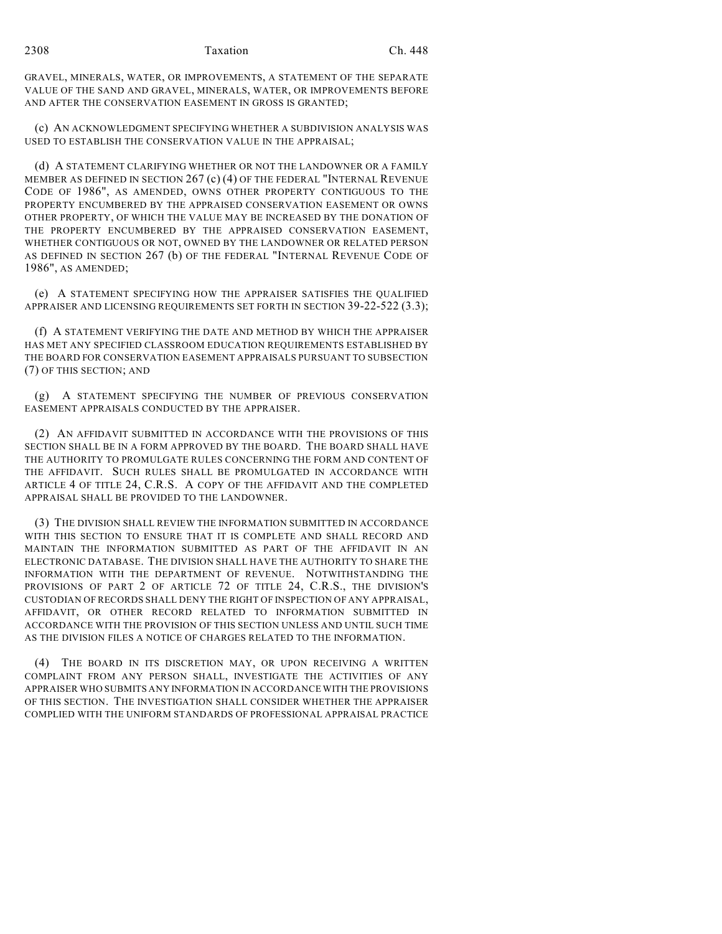GRAVEL, MINERALS, WATER, OR IMPROVEMENTS, A STATEMENT OF THE SEPARATE VALUE OF THE SAND AND GRAVEL, MINERALS, WATER, OR IMPROVEMENTS BEFORE AND AFTER THE CONSERVATION EASEMENT IN GROSS IS GRANTED;

(c) AN ACKNOWLEDGMENT SPECIFYING WHETHER A SUBDIVISION ANALYSIS WAS USED TO ESTABLISH THE CONSERVATION VALUE IN THE APPRAISAL;

(d) A STATEMENT CLARIFYING WHETHER OR NOT THE LANDOWNER OR A FAMILY MEMBER AS DEFINED IN SECTION 267 (c) (4) OF THE FEDERAL "INTERNAL REVENUE CODE OF 1986", AS AMENDED, OWNS OTHER PROPERTY CONTIGUOUS TO THE PROPERTY ENCUMBERED BY THE APPRAISED CONSERVATION EASEMENT OR OWNS OTHER PROPERTY, OF WHICH THE VALUE MAY BE INCREASED BY THE DONATION OF THE PROPERTY ENCUMBERED BY THE APPRAISED CONSERVATION EASEMENT, WHETHER CONTIGUOUS OR NOT, OWNED BY THE LANDOWNER OR RELATED PERSON AS DEFINED IN SECTION 267 (b) OF THE FEDERAL "INTERNAL REVENUE CODE OF 1986", AS AMENDED;

(e) A STATEMENT SPECIFYING HOW THE APPRAISER SATISFIES THE QUALIFIED APPRAISER AND LICENSING REQUIREMENTS SET FORTH IN SECTION 39-22-522 (3.3);

(f) A STATEMENT VERIFYING THE DATE AND METHOD BY WHICH THE APPRAISER HAS MET ANY SPECIFIED CLASSROOM EDUCATION REQUIREMENTS ESTABLISHED BY THE BOARD FOR CONSERVATION EASEMENT APPRAISALS PURSUANT TO SUBSECTION (7) OF THIS SECTION; AND

(g) A STATEMENT SPECIFYING THE NUMBER OF PREVIOUS CONSERVATION EASEMENT APPRAISALS CONDUCTED BY THE APPRAISER.

(2) AN AFFIDAVIT SUBMITTED IN ACCORDANCE WITH THE PROVISIONS OF THIS SECTION SHALL BE IN A FORM APPROVED BY THE BOARD. THE BOARD SHALL HAVE THE AUTHORITY TO PROMULGATE RULES CONCERNING THE FORM AND CONTENT OF THE AFFIDAVIT. SUCH RULES SHALL BE PROMULGATED IN ACCORDANCE WITH ARTICLE 4 OF TITLE 24, C.R.S. A COPY OF THE AFFIDAVIT AND THE COMPLETED APPRAISAL SHALL BE PROVIDED TO THE LANDOWNER.

(3) THE DIVISION SHALL REVIEW THE INFORMATION SUBMITTED IN ACCORDANCE WITH THIS SECTION TO ENSURE THAT IT IS COMPLETE AND SHALL RECORD AND MAINTAIN THE INFORMATION SUBMITTED AS PART OF THE AFFIDAVIT IN AN ELECTRONIC DATABASE. THE DIVISION SHALL HAVE THE AUTHORITY TO SHARE THE INFORMATION WITH THE DEPARTMENT OF REVENUE. NOTWITHSTANDING THE PROVISIONS OF PART 2 OF ARTICLE 72 OF TITLE 24, C.R.S., THE DIVISION'S CUSTODIAN OF RECORDS SHALL DENY THE RIGHT OF INSPECTION OF ANY APPRAISAL, AFFIDAVIT, OR OTHER RECORD RELATED TO INFORMATION SUBMITTED IN ACCORDANCE WITH THE PROVISION OF THIS SECTION UNLESS AND UNTIL SUCH TIME AS THE DIVISION FILES A NOTICE OF CHARGES RELATED TO THE INFORMATION.

(4) THE BOARD IN ITS DISCRETION MAY, OR UPON RECEIVING A WRITTEN COMPLAINT FROM ANY PERSON SHALL, INVESTIGATE THE ACTIVITIES OF ANY APPRAISER WHO SUBMITS ANY INFORMATION IN ACCORDANCE WITH THE PROVISIONS OF THIS SECTION. THE INVESTIGATION SHALL CONSIDER WHETHER THE APPRAISER COMPLIED WITH THE UNIFORM STANDARDS OF PROFESSIONAL APPRAISAL PRACTICE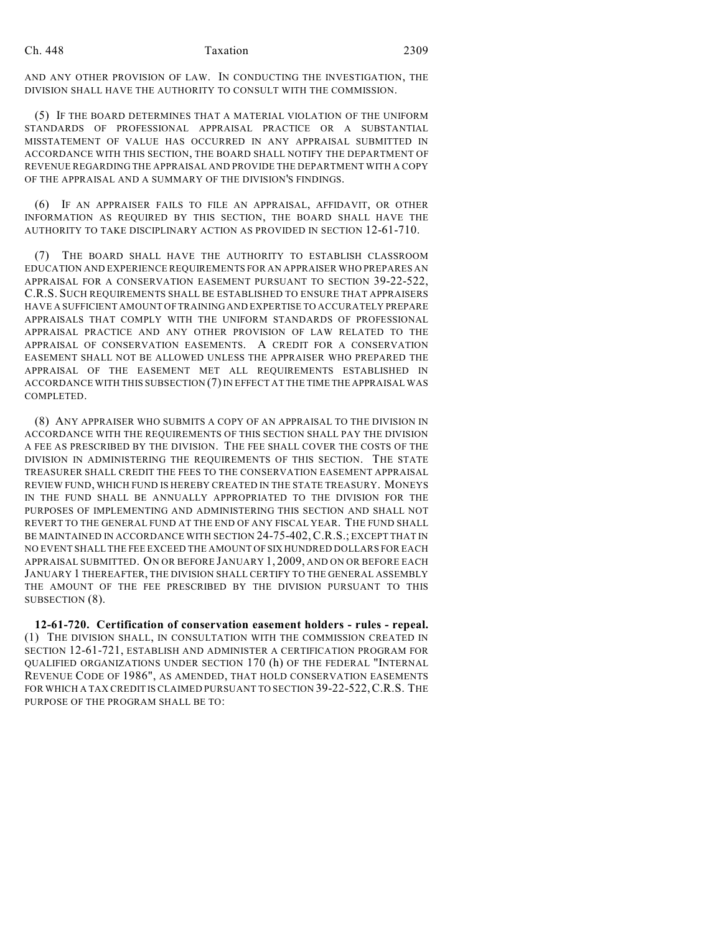#### Ch. 448 Taxation 2309

AND ANY OTHER PROVISION OF LAW. IN CONDUCTING THE INVESTIGATION, THE DIVISION SHALL HAVE THE AUTHORITY TO CONSULT WITH THE COMMISSION.

(5) IF THE BOARD DETERMINES THAT A MATERIAL VIOLATION OF THE UNIFORM STANDARDS OF PROFESSIONAL APPRAISAL PRACTICE OR A SUBSTANTIAL MISSTATEMENT OF VALUE HAS OCCURRED IN ANY APPRAISAL SUBMITTED IN ACCORDANCE WITH THIS SECTION, THE BOARD SHALL NOTIFY THE DEPARTMENT OF REVENUE REGARDING THE APPRAISAL AND PROVIDE THE DEPARTMENT WITH A COPY OF THE APPRAISAL AND A SUMMARY OF THE DIVISION'S FINDINGS.

(6) IF AN APPRAISER FAILS TO FILE AN APPRAISAL, AFFIDAVIT, OR OTHER INFORMATION AS REQUIRED BY THIS SECTION, THE BOARD SHALL HAVE THE AUTHORITY TO TAKE DISCIPLINARY ACTION AS PROVIDED IN SECTION 12-61-710.

(7) THE BOARD SHALL HAVE THE AUTHORITY TO ESTABLISH CLASSROOM EDUCATION AND EXPERIENCE REQUIREMENTS FOR AN APPRAISER WHO PREPARES AN APPRAISAL FOR A CONSERVATION EASEMENT PURSUANT TO SECTION 39-22-522, C.R.S. SUCH REQUIREMENTS SHALL BE ESTABLISHED TO ENSURE THAT APPRAISERS HAVE A SUFFICIENT AMOUNT OF TRAINING AND EXPERTISE TO ACCURATELY PREPARE APPRAISALS THAT COMPLY WITH THE UNIFORM STANDARDS OF PROFESSIONAL APPRAISAL PRACTICE AND ANY OTHER PROVISION OF LAW RELATED TO THE APPRAISAL OF CONSERVATION EASEMENTS. A CREDIT FOR A CONSERVATION EASEMENT SHALL NOT BE ALLOWED UNLESS THE APPRAISER WHO PREPARED THE APPRAISAL OF THE EASEMENT MET ALL REQUIREMENTS ESTABLISHED IN ACCORDANCE WITH THIS SUBSECTION (7) IN EFFECT AT THE TIME THE APPRAISAL WAS COMPLETED.

(8) ANY APPRAISER WHO SUBMITS A COPY OF AN APPRAISAL TO THE DIVISION IN ACCORDANCE WITH THE REQUIREMENTS OF THIS SECTION SHALL PAY THE DIVISION A FEE AS PRESCRIBED BY THE DIVISION. THE FEE SHALL COVER THE COSTS OF THE DIVISION IN ADMINISTERING THE REQUIREMENTS OF THIS SECTION. THE STATE TREASURER SHALL CREDIT THE FEES TO THE CONSERVATION EASEMENT APPRAISAL REVIEW FUND, WHICH FUND IS HEREBY CREATED IN THE STATE TREASURY. MONEYS IN THE FUND SHALL BE ANNUALLY APPROPRIATED TO THE DIVISION FOR THE PURPOSES OF IMPLEMENTING AND ADMINISTERING THIS SECTION AND SHALL NOT REVERT TO THE GENERAL FUND AT THE END OF ANY FISCAL YEAR. THE FUND SHALL BE MAINTAINED IN ACCORDANCE WITH SECTION 24-75-402, C.R.S.; EXCEPT THAT IN NO EVENT SHALL THE FEE EXCEED THE AMOUNT OF SIX HUNDRED DOLLARS FOR EACH APPRAISAL SUBMITTED. ON OR BEFORE JANUARY 1, 2009, AND ON OR BEFORE EACH JANUARY 1 THEREAFTER, THE DIVISION SHALL CERTIFY TO THE GENERAL ASSEMBLY THE AMOUNT OF THE FEE PRESCRIBED BY THE DIVISION PURSUANT TO THIS SUBSECTION (8).

**12-61-720. Certification of conservation easement holders - rules - repeal.** (1) THE DIVISION SHALL, IN CONSULTATION WITH THE COMMISSION CREATED IN SECTION 12-61-721, ESTABLISH AND ADMINISTER A CERTIFICATION PROGRAM FOR QUALIFIED ORGANIZATIONS UNDER SECTION 170 (h) OF THE FEDERAL "INTERNAL REVENUE CODE OF 1986", AS AMENDED, THAT HOLD CONSERVATION EASEMENTS FOR WHICH A TAX CREDIT IS CLAIMED PURSUANT TO SECTION 39-22-522, C.R.S. THE PURPOSE OF THE PROGRAM SHALL BE TO: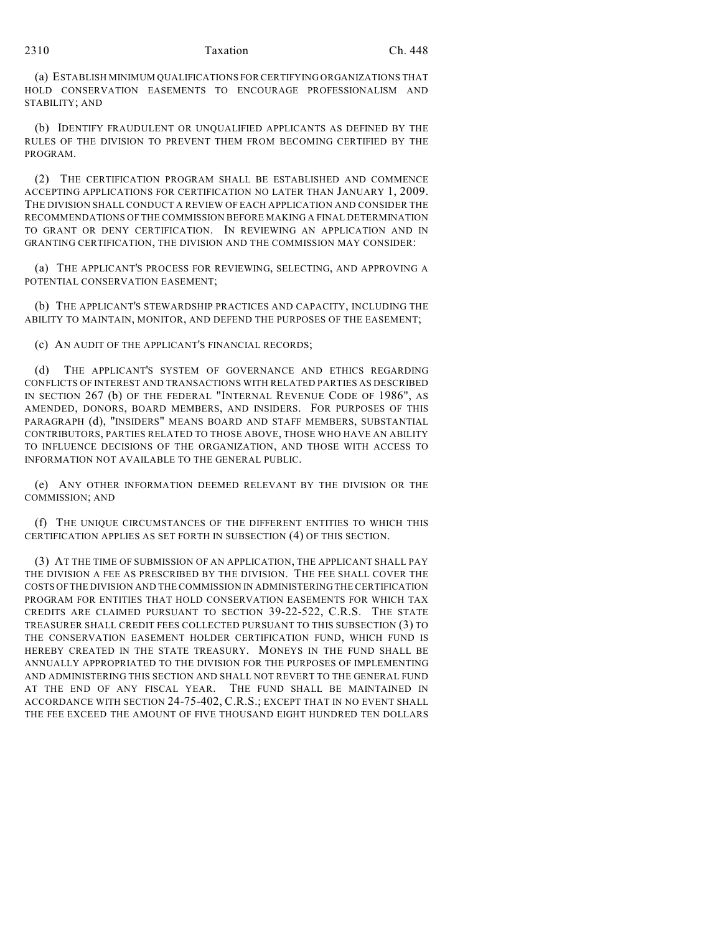(a) ESTABLISH MINIMUM QUALIFICATIONS FOR CERTIFYING ORGANIZATIONS THAT HOLD CONSERVATION EASEMENTS TO ENCOURAGE PROFESSIONALISM AND STABILITY; AND

(b) IDENTIFY FRAUDULENT OR UNQUALIFIED APPLICANTS AS DEFINED BY THE RULES OF THE DIVISION TO PREVENT THEM FROM BECOMING CERTIFIED BY THE PROGRAM.

(2) THE CERTIFICATION PROGRAM SHALL BE ESTABLISHED AND COMMENCE ACCEPTING APPLICATIONS FOR CERTIFICATION NO LATER THAN JANUARY 1, 2009. THE DIVISION SHALL CONDUCT A REVIEW OF EACH APPLICATION AND CONSIDER THE RECOMMENDATIONS OF THE COMMISSION BEFORE MAKING A FINAL DETERMINATION TO GRANT OR DENY CERTIFICATION. IN REVIEWING AN APPLICATION AND IN GRANTING CERTIFICATION, THE DIVISION AND THE COMMISSION MAY CONSIDER:

(a) THE APPLICANT'S PROCESS FOR REVIEWING, SELECTING, AND APPROVING A POTENTIAL CONSERVATION EASEMENT;

(b) THE APPLICANT'S STEWARDSHIP PRACTICES AND CAPACITY, INCLUDING THE ABILITY TO MAINTAIN, MONITOR, AND DEFEND THE PURPOSES OF THE EASEMENT;

(c) AN AUDIT OF THE APPLICANT'S FINANCIAL RECORDS;

(d) THE APPLICANT'S SYSTEM OF GOVERNANCE AND ETHICS REGARDING CONFLICTS OF INTEREST AND TRANSACTIONS WITH RELATED PARTIES AS DESCRIBED IN SECTION 267 (b) OF THE FEDERAL "INTERNAL REVENUE CODE OF 1986", AS AMENDED, DONORS, BOARD MEMBERS, AND INSIDERS. FOR PURPOSES OF THIS PARAGRAPH (d), "INSIDERS" MEANS BOARD AND STAFF MEMBERS, SUBSTANTIAL CONTRIBUTORS, PARTIES RELATED TO THOSE ABOVE, THOSE WHO HAVE AN ABILITY TO INFLUENCE DECISIONS OF THE ORGANIZATION, AND THOSE WITH ACCESS TO INFORMATION NOT AVAILABLE TO THE GENERAL PUBLIC.

(e) ANY OTHER INFORMATION DEEMED RELEVANT BY THE DIVISION OR THE COMMISSION; AND

(f) THE UNIQUE CIRCUMSTANCES OF THE DIFFERENT ENTITIES TO WHICH THIS CERTIFICATION APPLIES AS SET FORTH IN SUBSECTION (4) OF THIS SECTION.

(3) AT THE TIME OF SUBMISSION OF AN APPLICATION, THE APPLICANT SHALL PAY THE DIVISION A FEE AS PRESCRIBED BY THE DIVISION. THE FEE SHALL COVER THE COSTS OF THE DIVISION AND THE COMMISSION IN ADMINISTERING THE CERTIFICATION PROGRAM FOR ENTITIES THAT HOLD CONSERVATION EASEMENTS FOR WHICH TAX CREDITS ARE CLAIMED PURSUANT TO SECTION 39-22-522, C.R.S. THE STATE TREASURER SHALL CREDIT FEES COLLECTED PURSUANT TO THIS SUBSECTION (3) TO THE CONSERVATION EASEMENT HOLDER CERTIFICATION FUND, WHICH FUND IS HEREBY CREATED IN THE STATE TREASURY. MONEYS IN THE FUND SHALL BE ANNUALLY APPROPRIATED TO THE DIVISION FOR THE PURPOSES OF IMPLEMENTING AND ADMINISTERING THIS SECTION AND SHALL NOT REVERT TO THE GENERAL FUND AT THE END OF ANY FISCAL YEAR. THE FUND SHALL BE MAINTAINED IN ACCORDANCE WITH SECTION 24-75-402, C.R.S.; EXCEPT THAT IN NO EVENT SHALL THE FEE EXCEED THE AMOUNT OF FIVE THOUSAND EIGHT HUNDRED TEN DOLLARS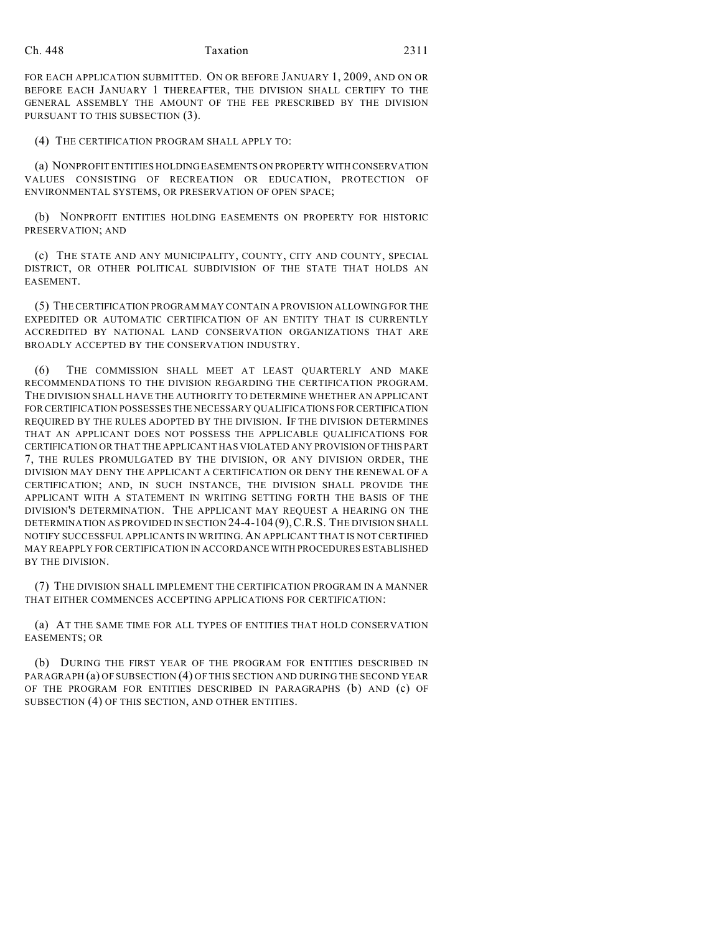FOR EACH APPLICATION SUBMITTED. ON OR BEFORE JANUARY 1, 2009, AND ON OR BEFORE EACH JANUARY 1 THEREAFTER, THE DIVISION SHALL CERTIFY TO THE GENERAL ASSEMBLY THE AMOUNT OF THE FEE PRESCRIBED BY THE DIVISION PURSUANT TO THIS SUBSECTION (3).

#### (4) THE CERTIFICATION PROGRAM SHALL APPLY TO:

(a) NONPROFIT ENTITIES HOLDING EASEMENTS ON PROPERTY WITH CONSERVATION VALUES CONSISTING OF RECREATION OR EDUCATION, PROTECTION OF ENVIRONMENTAL SYSTEMS, OR PRESERVATION OF OPEN SPACE;

(b) NONPROFIT ENTITIES HOLDING EASEMENTS ON PROPERTY FOR HISTORIC PRESERVATION; AND

(c) THE STATE AND ANY MUNICIPALITY, COUNTY, CITY AND COUNTY, SPECIAL DISTRICT, OR OTHER POLITICAL SUBDIVISION OF THE STATE THAT HOLDS AN EASEMENT.

(5) THE CERTIFICATION PROGRAM MAY CONTAIN A PROVISION ALLOWING FOR THE EXPEDITED OR AUTOMATIC CERTIFICATION OF AN ENTITY THAT IS CURRENTLY ACCREDITED BY NATIONAL LAND CONSERVATION ORGANIZATIONS THAT ARE BROADLY ACCEPTED BY THE CONSERVATION INDUSTRY.

(6) THE COMMISSION SHALL MEET AT LEAST QUARTERLY AND MAKE RECOMMENDATIONS TO THE DIVISION REGARDING THE CERTIFICATION PROGRAM. THE DIVISION SHALL HAVE THE AUTHORITY TO DETERMINE WHETHER AN APPLICANT FOR CERTIFICATION POSSESSES THE NECESSARY QUALIFICATIONS FOR CERTIFICATION REQUIRED BY THE RULES ADOPTED BY THE DIVISION. IF THE DIVISION DETERMINES THAT AN APPLICANT DOES NOT POSSESS THE APPLICABLE QUALIFICATIONS FOR CERTIFICATION OR THAT THE APPLICANT HAS VIOLATED ANY PROVISION OF THIS PART 7, THE RULES PROMULGATED BY THE DIVISION, OR ANY DIVISION ORDER, THE DIVISION MAY DENY THE APPLICANT A CERTIFICATION OR DENY THE RENEWAL OF A CERTIFICATION; AND, IN SUCH INSTANCE, THE DIVISION SHALL PROVIDE THE APPLICANT WITH A STATEMENT IN WRITING SETTING FORTH THE BASIS OF THE DIVISION'S DETERMINATION. THE APPLICANT MAY REQUEST A HEARING ON THE DETERMINATION AS PROVIDED IN SECTION 24-4-104 (9),C.R.S. THE DIVISION SHALL NOTIFY SUCCESSFUL APPLICANTS IN WRITING. AN APPLICANT THAT IS NOT CERTIFIED MAY REAPPLY FOR CERTIFICATION IN ACCORDANCE WITH PROCEDURES ESTABLISHED BY THE DIVISION.

(7) THE DIVISION SHALL IMPLEMENT THE CERTIFICATION PROGRAM IN A MANNER THAT EITHER COMMENCES ACCEPTING APPLICATIONS FOR CERTIFICATION:

(a) AT THE SAME TIME FOR ALL TYPES OF ENTITIES THAT HOLD CONSERVATION EASEMENTS; OR

(b) DURING THE FIRST YEAR OF THE PROGRAM FOR ENTITIES DESCRIBED IN PARAGRAPH (a) OF SUBSECTION (4) OF THIS SECTION AND DURING THE SECOND YEAR OF THE PROGRAM FOR ENTITIES DESCRIBED IN PARAGRAPHS (b) AND (c) OF SUBSECTION (4) OF THIS SECTION, AND OTHER ENTITIES.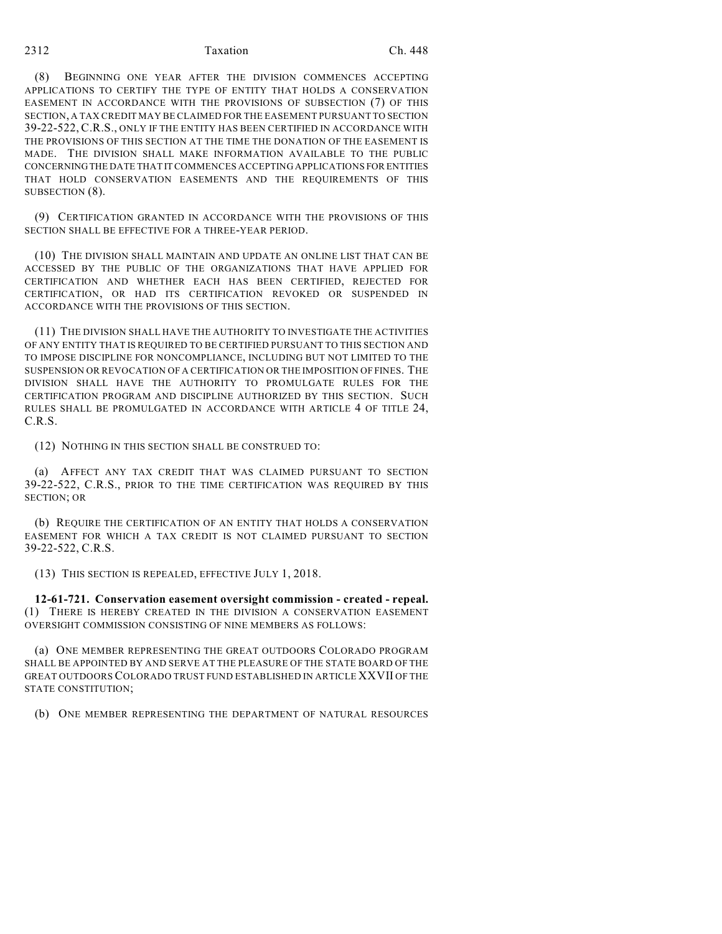(8) BEGINNING ONE YEAR AFTER THE DIVISION COMMENCES ACCEPTING APPLICATIONS TO CERTIFY THE TYPE OF ENTITY THAT HOLDS A CONSERVATION EASEMENT IN ACCORDANCE WITH THE PROVISIONS OF SUBSECTION (7) OF THIS SECTION, A TAX CREDIT MAY BE CLAIMED FOR THE EASEMENT PURSUANT TO SECTION 39-22-522, C.R.S., ONLY IF THE ENTITY HAS BEEN CERTIFIED IN ACCORDANCE WITH THE PROVISIONS OF THIS SECTION AT THE TIME THE DONATION OF THE EASEMENT IS MADE. THE DIVISION SHALL MAKE INFORMATION AVAILABLE TO THE PUBLIC CONCERNING THE DATE THAT IT COMMENCES ACCEPTING APPLICATIONS FOR ENTITIES THAT HOLD CONSERVATION EASEMENTS AND THE REQUIREMENTS OF THIS SUBSECTION (8).

(9) CERTIFICATION GRANTED IN ACCORDANCE WITH THE PROVISIONS OF THIS SECTION SHALL BE EFFECTIVE FOR A THREE-YEAR PERIOD.

(10) THE DIVISION SHALL MAINTAIN AND UPDATE AN ONLINE LIST THAT CAN BE ACCESSED BY THE PUBLIC OF THE ORGANIZATIONS THAT HAVE APPLIED FOR CERTIFICATION AND WHETHER EACH HAS BEEN CERTIFIED, REJECTED FOR CERTIFICATION, OR HAD ITS CERTIFICATION REVOKED OR SUSPENDED IN ACCORDANCE WITH THE PROVISIONS OF THIS SECTION.

(11) THE DIVISION SHALL HAVE THE AUTHORITY TO INVESTIGATE THE ACTIVITIES OF ANY ENTITY THAT IS REQUIRED TO BE CERTIFIED PURSUANT TO THIS SECTION AND TO IMPOSE DISCIPLINE FOR NONCOMPLIANCE, INCLUDING BUT NOT LIMITED TO THE SUSPENSION OR REVOCATION OF A CERTIFICATION OR THE IMPOSITION OF FINES. THE DIVISION SHALL HAVE THE AUTHORITY TO PROMULGATE RULES FOR THE CERTIFICATION PROGRAM AND DISCIPLINE AUTHORIZED BY THIS SECTION. SUCH RULES SHALL BE PROMULGATED IN ACCORDANCE WITH ARTICLE 4 OF TITLE 24, C.R.S.

(12) NOTHING IN THIS SECTION SHALL BE CONSTRUED TO:

(a) AFFECT ANY TAX CREDIT THAT WAS CLAIMED PURSUANT TO SECTION 39-22-522, C.R.S., PRIOR TO THE TIME CERTIFICATION WAS REQUIRED BY THIS SECTION; OR

(b) REQUIRE THE CERTIFICATION OF AN ENTITY THAT HOLDS A CONSERVATION EASEMENT FOR WHICH A TAX CREDIT IS NOT CLAIMED PURSUANT TO SECTION 39-22-522, C.R.S.

(13) THIS SECTION IS REPEALED, EFFECTIVE JULY 1, 2018.

**12-61-721. Conservation easement oversight commission - created - repeal.** (1) THERE IS HEREBY CREATED IN THE DIVISION A CONSERVATION EASEMENT OVERSIGHT COMMISSION CONSISTING OF NINE MEMBERS AS FOLLOWS:

(a) ONE MEMBER REPRESENTING THE GREAT OUTDOORS COLORADO PROGRAM SHALL BE APPOINTED BY AND SERVE AT THE PLEASURE OF THE STATE BOARD OF THE GREAT OUTDOORS COLORADO TRUST FUND ESTABLISHED IN ARTICLE XXVII OF THE STATE CONSTITUTION;

(b) ONE MEMBER REPRESENTING THE DEPARTMENT OF NATURAL RESOURCES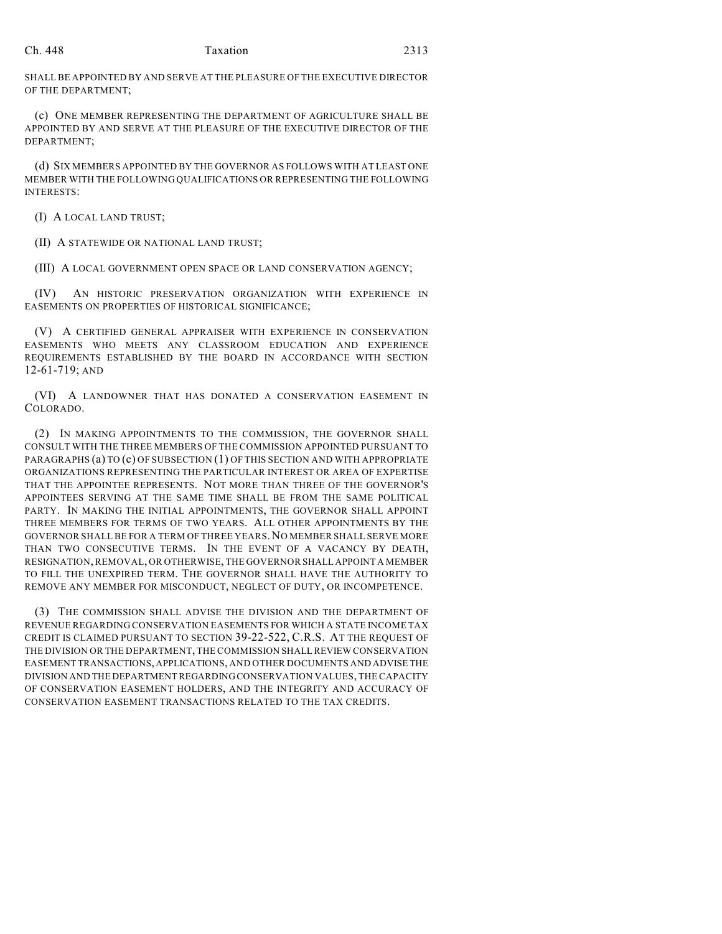SHALL BE APPOINTED BY AND SERVE AT THE PLEASURE OF THE EXECUTIVE DIRECTOR OF THE DEPARTMENT;

(c) ONE MEMBER REPRESENTING THE DEPARTMENT OF AGRICULTURE SHALL BE APPOINTED BY AND SERVE AT THE PLEASURE OF THE EXECUTIVE DIRECTOR OF THE DEPARTMENT;

(d) SIX MEMBERS APPOINTED BY THE GOVERNOR AS FOLLOWS WITH AT LEAST ONE MEMBER WITH THE FOLLOWING QUALIFICATIONS OR REPRESENTING THE FOLLOWING INTERESTS:

(I) A LOCAL LAND TRUST;

(II) A STATEWIDE OR NATIONAL LAND TRUST;

(III) A LOCAL GOVERNMENT OPEN SPACE OR LAND CONSERVATION AGENCY;

(IV) AN HISTORIC PRESERVATION ORGANIZATION WITH EXPERIENCE IN EASEMENTS ON PROPERTIES OF HISTORICAL SIGNIFICANCE;

(V) A CERTIFIED GENERAL APPRAISER WITH EXPERIENCE IN CONSERVATION EASEMENTS WHO MEETS ANY CLASSROOM EDUCATION AND EXPERIENCE REQUIREMENTS ESTABLISHED BY THE BOARD IN ACCORDANCE WITH SECTION 12-61-719; AND

(VI) A LANDOWNER THAT HAS DONATED A CONSERVATION EASEMENT IN COLORADO.

(2) IN MAKING APPOINTMENTS TO THE COMMISSION, THE GOVERNOR SHALL CONSULT WITH THE THREE MEMBERS OF THE COMMISSION APPOINTED PURSUANT TO PARAGRAPHS (a) TO (c) OF SUBSECTION (1) OF THIS SECTION AND WITH APPROPRIATE ORGANIZATIONS REPRESENTING THE PARTICULAR INTEREST OR AREA OF EXPERTISE THAT THE APPOINTEE REPRESENTS. NOT MORE THAN THREE OF THE GOVERNOR'S APPOINTEES SERVING AT THE SAME TIME SHALL BE FROM THE SAME POLITICAL PARTY. IN MAKING THE INITIAL APPOINTMENTS, THE GOVERNOR SHALL APPOINT THREE MEMBERS FOR TERMS OF TWO YEARS. ALL OTHER APPOINTMENTS BY THE GOVERNOR SHALL BE FOR A TERM OF THREE YEARS.NO MEMBER SHALL SERVE MORE THAN TWO CONSECUTIVE TERMS. IN THE EVENT OF A VACANCY BY DEATH, RESIGNATION, REMOVAL, OR OTHERWISE, THE GOVERNOR SHALL APPOINT A MEMBER TO FILL THE UNEXPIRED TERM. THE GOVERNOR SHALL HAVE THE AUTHORITY TO REMOVE ANY MEMBER FOR MISCONDUCT, NEGLECT OF DUTY, OR INCOMPETENCE.

(3) THE COMMISSION SHALL ADVISE THE DIVISION AND THE DEPARTMENT OF REVENUE REGARDING CONSERVATION EASEMENTS FOR WHICH A STATE INCOME TAX CREDIT IS CLAIMED PURSUANT TO SECTION 39-22-522, C.R.S. AT THE REQUEST OF THE DIVISION OR THE DEPARTMENT, THE COMMISSION SHALL REVIEW CONSERVATION EASEMENT TRANSACTIONS, APPLICATIONS, AND OTHER DOCUMENTS AND ADVISE THE DIVISION AND THE DEPARTMENT REGARDING CONSERVATION VALUES, THE CAPACITY OF CONSERVATION EASEMENT HOLDERS, AND THE INTEGRITY AND ACCURACY OF CONSERVATION EASEMENT TRANSACTIONS RELATED TO THE TAX CREDITS.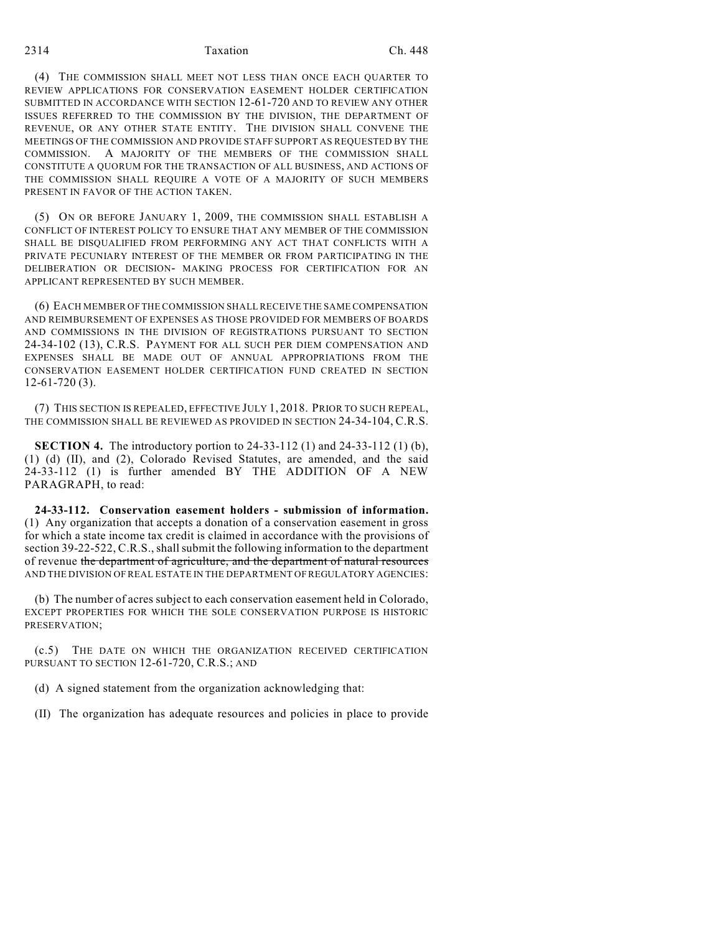(4) THE COMMISSION SHALL MEET NOT LESS THAN ONCE EACH QUARTER TO REVIEW APPLICATIONS FOR CONSERVATION EASEMENT HOLDER CERTIFICATION SUBMITTED IN ACCORDANCE WITH SECTION 12-61-720 AND TO REVIEW ANY OTHER ISSUES REFERRED TO THE COMMISSION BY THE DIVISION, THE DEPARTMENT OF REVENUE, OR ANY OTHER STATE ENTITY. THE DIVISION SHALL CONVENE THE MEETINGS OF THE COMMISSION AND PROVIDE STAFF SUPPORT AS REQUESTED BY THE COMMISSION. A MAJORITY OF THE MEMBERS OF THE COMMISSION SHALL CONSTITUTE A QUORUM FOR THE TRANSACTION OF ALL BUSINESS, AND ACTIONS OF THE COMMISSION SHALL REQUIRE A VOTE OF A MAJORITY OF SUCH MEMBERS PRESENT IN FAVOR OF THE ACTION TAKEN.

(5) ON OR BEFORE JANUARY 1, 2009, THE COMMISSION SHALL ESTABLISH A CONFLICT OF INTEREST POLICY TO ENSURE THAT ANY MEMBER OF THE COMMISSION SHALL BE DISQUALIFIED FROM PERFORMING ANY ACT THAT CONFLICTS WITH A PRIVATE PECUNIARY INTEREST OF THE MEMBER OR FROM PARTICIPATING IN THE DELIBERATION OR DECISION- MAKING PROCESS FOR CERTIFICATION FOR AN APPLICANT REPRESENTED BY SUCH MEMBER.

(6) EACH MEMBER OF THE COMMISSION SHALL RECEIVE THE SAME COMPENSATION AND REIMBURSEMENT OF EXPENSES AS THOSE PROVIDED FOR MEMBERS OF BOARDS AND COMMISSIONS IN THE DIVISION OF REGISTRATIONS PURSUANT TO SECTION 24-34-102 (13), C.R.S. PAYMENT FOR ALL SUCH PER DIEM COMPENSATION AND EXPENSES SHALL BE MADE OUT OF ANNUAL APPROPRIATIONS FROM THE CONSERVATION EASEMENT HOLDER CERTIFICATION FUND CREATED IN SECTION 12-61-720 (3).

(7) THIS SECTION IS REPEALED, EFFECTIVE JULY 1, 2018. PRIOR TO SUCH REPEAL, THE COMMISSION SHALL BE REVIEWED AS PROVIDED IN SECTION 24-34-104, C.R.S.

**SECTION 4.** The introductory portion to 24-33-112 (1) and 24-33-112 (1) (b), (1) (d) (II), and (2), Colorado Revised Statutes, are amended, and the said 24-33-112 (1) is further amended BY THE ADDITION OF A NEW PARAGRAPH, to read:

**24-33-112. Conservation easement holders - submission of information.** (1) Any organization that accepts a donation of a conservation easement in gross for which a state income tax credit is claimed in accordance with the provisions of section 39-22-522, C.R.S., shall submit the following information to the department of revenue the department of agriculture, and the department of natural resources AND THE DIVISION OF REAL ESTATE IN THE DEPARTMENT OF REGULATORY AGENCIES:

(b) The number of acres subject to each conservation easement held in Colorado, EXCEPT PROPERTIES FOR WHICH THE SOLE CONSERVATION PURPOSE IS HISTORIC PRESERVATION;

(c.5) THE DATE ON WHICH THE ORGANIZATION RECEIVED CERTIFICATION PURSUANT TO SECTION 12-61-720, C.R.S.; AND

(d) A signed statement from the organization acknowledging that:

(II) The organization has adequate resources and policies in place to provide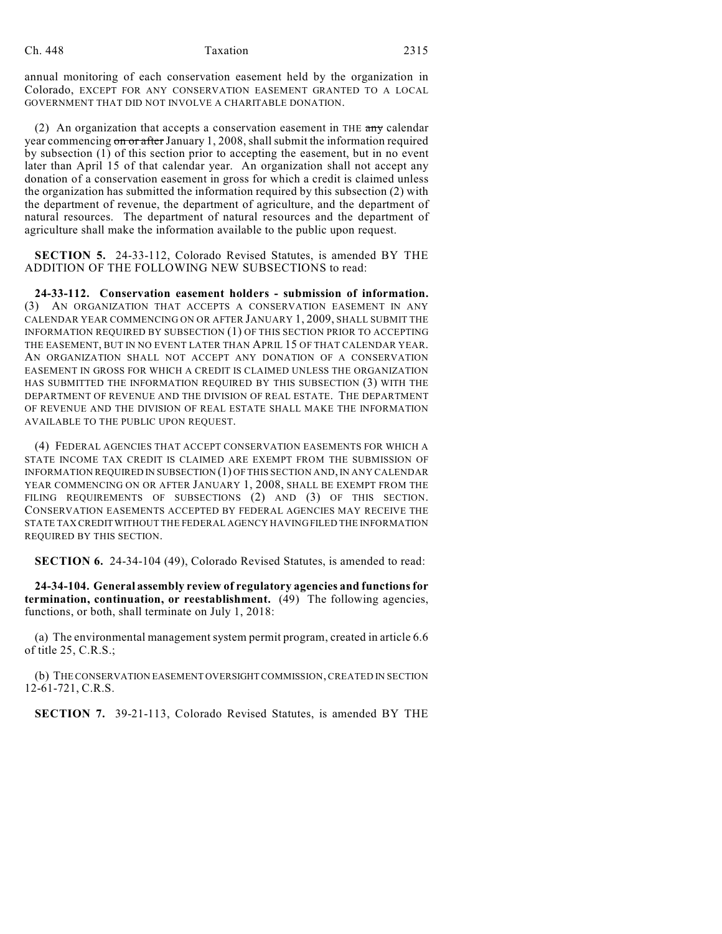annual monitoring of each conservation easement held by the organization in Colorado, EXCEPT FOR ANY CONSERVATION EASEMENT GRANTED TO A LOCAL GOVERNMENT THAT DID NOT INVOLVE A CHARITABLE DONATION.

(2) An organization that accepts a conservation easement in THE  $\frac{dm}{dt}$  calendar year commencing on or after January 1, 2008, shall submit the information required by subsection (1) of this section prior to accepting the easement, but in no event later than April 15 of that calendar year. An organization shall not accept any donation of a conservation easement in gross for which a credit is claimed unless the organization has submitted the information required by this subsection (2) with the department of revenue, the department of agriculture, and the department of natural resources. The department of natural resources and the department of agriculture shall make the information available to the public upon request.

**SECTION 5.** 24-33-112, Colorado Revised Statutes, is amended BY THE ADDITION OF THE FOLLOWING NEW SUBSECTIONS to read:

**24-33-112. Conservation easement holders - submission of information.** (3) AN ORGANIZATION THAT ACCEPTS A CONSERVATION EASEMENT IN ANY CALENDAR YEAR COMMENCING ON OR AFTER JANUARY 1, 2009, SHALL SUBMIT THE INFORMATION REQUIRED BY SUBSECTION (1) OF THIS SECTION PRIOR TO ACCEPTING THE EASEMENT, BUT IN NO EVENT LATER THAN APRIL 15 OF THAT CALENDAR YEAR. AN ORGANIZATION SHALL NOT ACCEPT ANY DONATION OF A CONSERVATION EASEMENT IN GROSS FOR WHICH A CREDIT IS CLAIMED UNLESS THE ORGANIZATION HAS SUBMITTED THE INFORMATION REQUIRED BY THIS SUBSECTION (3) WITH THE DEPARTMENT OF REVENUE AND THE DIVISION OF REAL ESTATE. THE DEPARTMENT OF REVENUE AND THE DIVISION OF REAL ESTATE SHALL MAKE THE INFORMATION AVAILABLE TO THE PUBLIC UPON REQUEST.

(4) FEDERAL AGENCIES THAT ACCEPT CONSERVATION EASEMENTS FOR WHICH A STATE INCOME TAX CREDIT IS CLAIMED ARE EXEMPT FROM THE SUBMISSION OF INFORMATION REQUIRED IN SUBSECTION (1) OF THIS SECTION AND, IN ANY CALENDAR YEAR COMMENCING ON OR AFTER JANUARY 1, 2008, SHALL BE EXEMPT FROM THE FILING REQUIREMENTS OF SUBSECTIONS (2) AND (3) OF THIS SECTION. CONSERVATION EASEMENTS ACCEPTED BY FEDERAL AGENCIES MAY RECEIVE THE STATE TAX CREDIT WITHOUT THE FEDERAL AGENCY HAVING FILED THE INFORMATION REQUIRED BY THIS SECTION.

**SECTION 6.** 24-34-104 (49), Colorado Revised Statutes, is amended to read:

**24-34-104. General assembly review of regulatory agencies and functions for termination, continuation, or reestablishment.** (49) The following agencies, functions, or both, shall terminate on July 1, 2018:

(a) The environmental management system permit program, created in article 6.6 of title 25, C.R.S.;

(b) THE CONSERVATION EASEMENT OVERSIGHT COMMISSION, CREATED IN SECTION 12-61-721, C.R.S.

**SECTION 7.** 39-21-113, Colorado Revised Statutes, is amended BY THE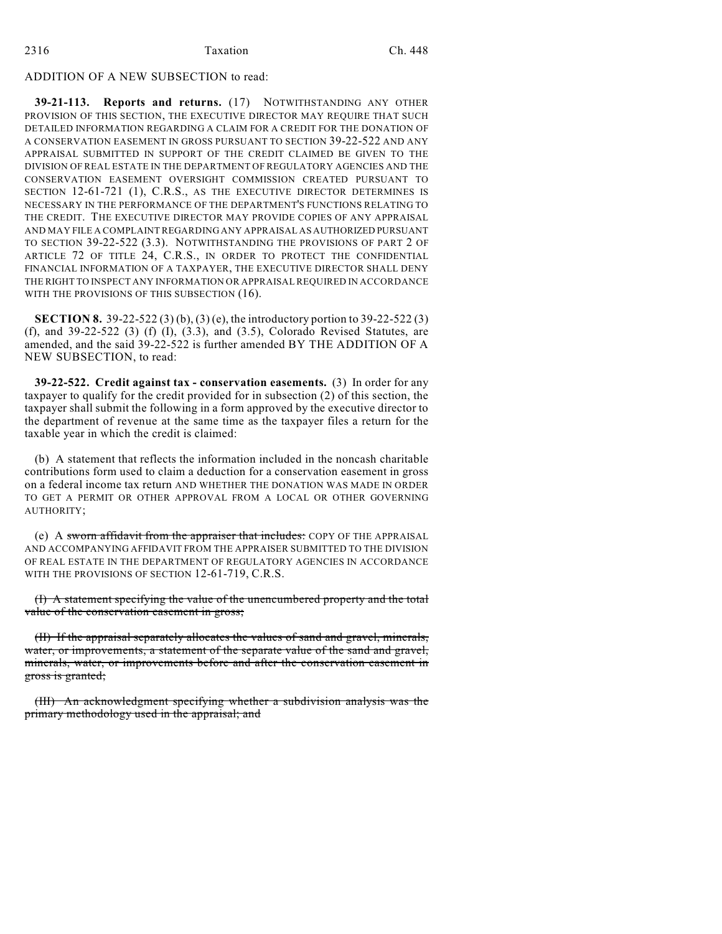## ADDITION OF A NEW SUBSECTION to read:

**39-21-113. Reports and returns.** (17) NOTWITHSTANDING ANY OTHER PROVISION OF THIS SECTION, THE EXECUTIVE DIRECTOR MAY REQUIRE THAT SUCH DETAILED INFORMATION REGARDING A CLAIM FOR A CREDIT FOR THE DONATION OF A CONSERVATION EASEMENT IN GROSS PURSUANT TO SECTION 39-22-522 AND ANY APPRAISAL SUBMITTED IN SUPPORT OF THE CREDIT CLAIMED BE GIVEN TO THE DIVISION OF REAL ESTATE IN THE DEPARTMENT OF REGULATORY AGENCIES AND THE CONSERVATION EASEMENT OVERSIGHT COMMISSION CREATED PURSUANT TO SECTION 12-61-721 (1), C.R.S., AS THE EXECUTIVE DIRECTOR DETERMINES IS NECESSARY IN THE PERFORMANCE OF THE DEPARTMENT'S FUNCTIONS RELATING TO THE CREDIT. THE EXECUTIVE DIRECTOR MAY PROVIDE COPIES OF ANY APPRAISAL AND MAY FILE A COMPLAINT REGARDING ANY APPRAISAL AS AUTHORIZED PURSUANT TO SECTION 39-22-522 (3.3). NOTWITHSTANDING THE PROVISIONS OF PART 2 OF ARTICLE 72 OF TITLE 24, C.R.S., IN ORDER TO PROTECT THE CONFIDENTIAL FINANCIAL INFORMATION OF A TAXPAYER, THE EXECUTIVE DIRECTOR SHALL DENY THE RIGHT TO INSPECT ANY INFORMATION OR APPRAISAL REQUIRED IN ACCORDANCE WITH THE PROVISIONS OF THIS SUBSECTION (16).

**SECTION 8.** 39-22-522 (3) (b), (3) (e), the introductory portion to 39-22-522 (3) (f), and 39-22-522 (3) (f) (I), (3.3), and (3.5), Colorado Revised Statutes, are amended, and the said 39-22-522 is further amended BY THE ADDITION OF A NEW SUBSECTION, to read:

**39-22-522. Credit against tax - conservation easements.** (3) In order for any taxpayer to qualify for the credit provided for in subsection (2) of this section, the taxpayer shall submit the following in a form approved by the executive director to the department of revenue at the same time as the taxpayer files a return for the taxable year in which the credit is claimed:

(b) A statement that reflects the information included in the noncash charitable contributions form used to claim a deduction for a conservation easement in gross on a federal income tax return AND WHETHER THE DONATION WAS MADE IN ORDER TO GET A PERMIT OR OTHER APPROVAL FROM A LOCAL OR OTHER GOVERNING AUTHORITY;

(e) A sworn affidavit from the appraiser that includes: COPY OF THE APPRAISAL AND ACCOMPANYING AFFIDAVIT FROM THE APPRAISER SUBMITTED TO THE DIVISION OF REAL ESTATE IN THE DEPARTMENT OF REGULATORY AGENCIES IN ACCORDANCE WITH THE PROVISIONS OF SECTION 12-61-719, C.R.S.

(I) A statement specifying the value of the unencumbered property and the total value of the conservation easement in gross;

(II) If the appraisal separately allocates the values of sand and gravel, minerals, water, or improvements, a statement of the separate value of the sand and gravel, minerals, water, or improvements before and after the conservation easement in gross is granted;

(III) An acknowledgment specifying whether a subdivision analysis was the primary methodology used in the appraisal; and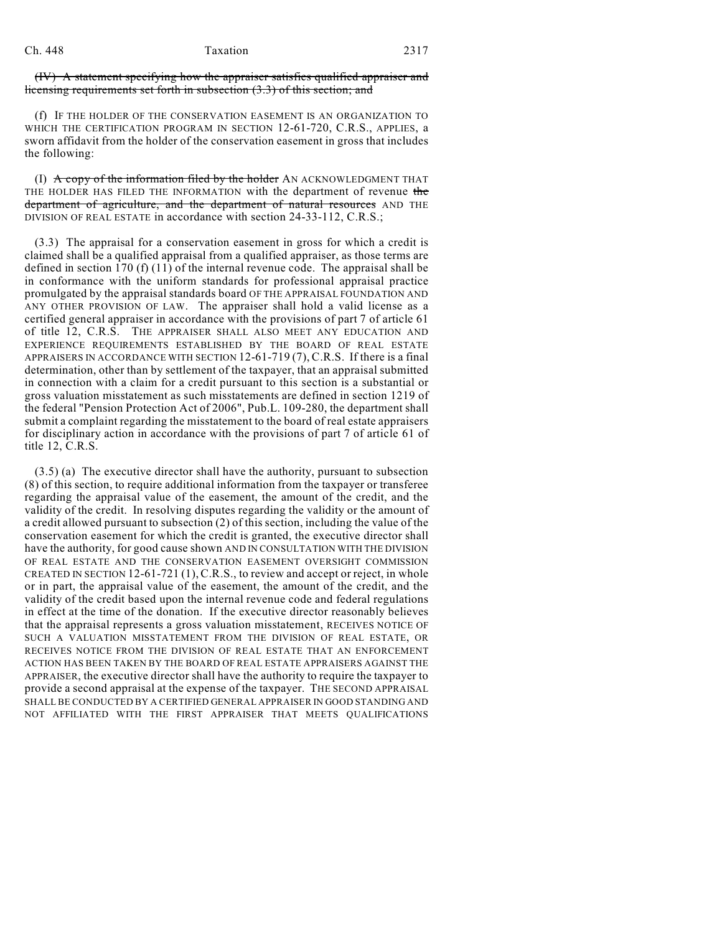### Ch. 448 Taxation 2317

(IV) A statement specifying how the appraiser satisfies qualified appraiser and licensing requirements set forth in subsection (3.3) of this section; and

(f) IF THE HOLDER OF THE CONSERVATION EASEMENT IS AN ORGANIZATION TO WHICH THE CERTIFICATION PROGRAM IN SECTION 12-61-720, C.R.S., APPLIES, a sworn affidavit from the holder of the conservation easement in gross that includes the following:

(I)  $\overline{A}$  copy of the information filed by the holder AN ACKNOWLEDGMENT THAT THE HOLDER HAS FILED THE INFORMATION with the department of revenue the department of agriculture, and the department of natural resources AND THE DIVISION OF REAL ESTATE in accordance with section 24-33-112, C.R.S.;

(3.3) The appraisal for a conservation easement in gross for which a credit is claimed shall be a qualified appraisal from a qualified appraiser, as those terms are defined in section 170 (f) (11) of the internal revenue code. The appraisal shall be in conformance with the uniform standards for professional appraisal practice promulgated by the appraisal standards board OF THE APPRAISAL FOUNDATION AND ANY OTHER PROVISION OF LAW. The appraiser shall hold a valid license as a certified general appraiser in accordance with the provisions of part 7 of article 61 of title 12, C.R.S. THE APPRAISER SHALL ALSO MEET ANY EDUCATION AND EXPERIENCE REQUIREMENTS ESTABLISHED BY THE BOARD OF REAL ESTATE APPRAISERS IN ACCORDANCE WITH SECTION 12-61-719 (7), C.R.S. If there is a final determination, other than by settlement of the taxpayer, that an appraisal submitted in connection with a claim for a credit pursuant to this section is a substantial or gross valuation misstatement as such misstatements are defined in section 1219 of the federal "Pension Protection Act of 2006", Pub.L. 109-280, the department shall submit a complaint regarding the misstatement to the board of real estate appraisers for disciplinary action in accordance with the provisions of part 7 of article 61 of title 12, C.R.S.

(3.5) (a) The executive director shall have the authority, pursuant to subsection (8) of this section, to require additional information from the taxpayer or transferee regarding the appraisal value of the easement, the amount of the credit, and the validity of the credit. In resolving disputes regarding the validity or the amount of a credit allowed pursuant to subsection (2) of this section, including the value of the conservation easement for which the credit is granted, the executive director shall have the authority, for good cause shown AND IN CONSULTATION WITH THE DIVISION OF REAL ESTATE AND THE CONSERVATION EASEMENT OVERSIGHT COMMISSION CREATED IN SECTION 12-61-721 (1),C.R.S., to review and accept or reject, in whole or in part, the appraisal value of the easement, the amount of the credit, and the validity of the credit based upon the internal revenue code and federal regulations in effect at the time of the donation. If the executive director reasonably believes that the appraisal represents a gross valuation misstatement, RECEIVES NOTICE OF SUCH A VALUATION MISSTATEMENT FROM THE DIVISION OF REAL ESTATE, OR RECEIVES NOTICE FROM THE DIVISION OF REAL ESTATE THAT AN ENFORCEMENT ACTION HAS BEEN TAKEN BY THE BOARD OF REAL ESTATE APPRAISERS AGAINST THE APPRAISER, the executive director shall have the authority to require the taxpayer to provide a second appraisal at the expense of the taxpayer. THE SECOND APPRAISAL SHALL BE CONDUCTED BY A CERTIFIED GENERAL APPRAISER IN GOOD STANDING AND NOT AFFILIATED WITH THE FIRST APPRAISER THAT MEETS QUALIFICATIONS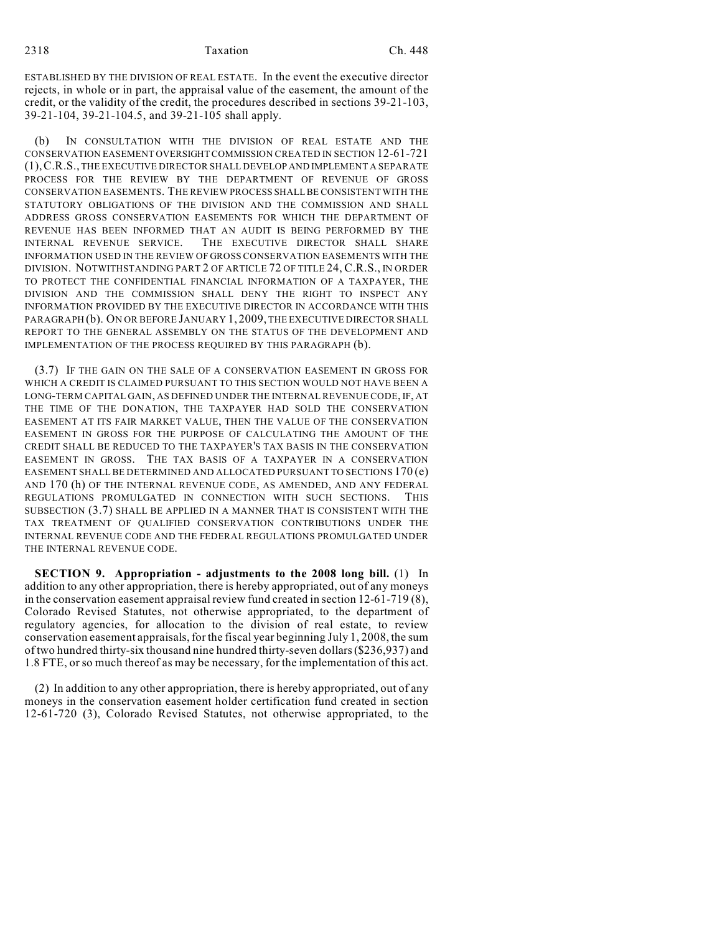ESTABLISHED BY THE DIVISION OF REAL ESTATE. In the event the executive director rejects, in whole or in part, the appraisal value of the easement, the amount of the credit, or the validity of the credit, the procedures described in sections 39-21-103, 39-21-104, 39-21-104.5, and 39-21-105 shall apply.

(b) IN CONSULTATION WITH THE DIVISION OF REAL ESTATE AND THE CONSERVATION EASEMENT OVERSIGHT COMMISSION CREATED IN SECTION 12-61-721 (1),C.R.S., THE EXECUTIVE DIRECTOR SHALL DEVELOP AND IMPLEMENT A SEPARATE PROCESS FOR THE REVIEW BY THE DEPARTMENT OF REVENUE OF GROSS CONSERVATION EASEMENTS. THE REVIEW PROCESS SHALL BE CONSISTENT WITH THE STATUTORY OBLIGATIONS OF THE DIVISION AND THE COMMISSION AND SHALL ADDRESS GROSS CONSERVATION EASEMENTS FOR WHICH THE DEPARTMENT OF REVENUE HAS BEEN INFORMED THAT AN AUDIT IS BEING PERFORMED BY THE INTERNAL REVENUE SERVICE. THE EXECUTIVE DIRECTOR SHALL SHARE INFORMATION USED IN THE REVIEW OF GROSS CONSERVATION EASEMENTS WITH THE DIVISION. NOTWITHSTANDING PART 2 OF ARTICLE 72 OF TITLE 24, C.R.S., IN ORDER TO PROTECT THE CONFIDENTIAL FINANCIAL INFORMATION OF A TAXPAYER, THE DIVISION AND THE COMMISSION SHALL DENY THE RIGHT TO INSPECT ANY INFORMATION PROVIDED BY THE EXECUTIVE DIRECTOR IN ACCORDANCE WITH THIS PARAGRAPH (b). ON OR BEFORE JANUARY 1, 2009, THE EXECUTIVE DIRECTOR SHALL REPORT TO THE GENERAL ASSEMBLY ON THE STATUS OF THE DEVELOPMENT AND IMPLEMENTATION OF THE PROCESS REQUIRED BY THIS PARAGRAPH (b).

(3.7) IF THE GAIN ON THE SALE OF A CONSERVATION EASEMENT IN GROSS FOR WHICH A CREDIT IS CLAIMED PURSUANT TO THIS SECTION WOULD NOT HAVE BEEN A LONG-TERM CAPITAL GAIN, AS DEFINED UNDER THE INTERNAL REVENUE CODE, IF, AT THE TIME OF THE DONATION, THE TAXPAYER HAD SOLD THE CONSERVATION EASEMENT AT ITS FAIR MARKET VALUE, THEN THE VALUE OF THE CONSERVATION EASEMENT IN GROSS FOR THE PURPOSE OF CALCULATING THE AMOUNT OF THE CREDIT SHALL BE REDUCED TO THE TAXPAYER'S TAX BASIS IN THE CONSERVATION EASEMENT IN GROSS. THE TAX BASIS OF A TAXPAYER IN A CONSERVATION EASEMENT SHALL BE DETERMINED AND ALLOCATED PURSUANT TO SECTIONS 170 (e) AND 170 (h) OF THE INTERNAL REVENUE CODE, AS AMENDED, AND ANY FEDERAL REGULATIONS PROMULGATED IN CONNECTION WITH SUCH SECTIONS. THIS SUBSECTION (3.7) SHALL BE APPLIED IN A MANNER THAT IS CONSISTENT WITH THE TAX TREATMENT OF QUALIFIED CONSERVATION CONTRIBUTIONS UNDER THE INTERNAL REVENUE CODE AND THE FEDERAL REGULATIONS PROMULGATED UNDER THE INTERNAL REVENUE CODE.

**SECTION 9. Appropriation - adjustments to the 2008 long bill.** (1) In addition to any other appropriation, there is hereby appropriated, out of any moneys in the conservation easement appraisal review fund created in section 12-61-719 (8), Colorado Revised Statutes, not otherwise appropriated, to the department of regulatory agencies, for allocation to the division of real estate, to review conservation easement appraisals, for the fiscal year beginning July 1, 2008, the sum of two hundred thirty-six thousand nine hundred thirty-seven dollars (\$236,937) and 1.8 FTE, or so much thereof as may be necessary, for the implementation of this act.

(2) In addition to any other appropriation, there is hereby appropriated, out of any moneys in the conservation easement holder certification fund created in section 12-61-720 (3), Colorado Revised Statutes, not otherwise appropriated, to the